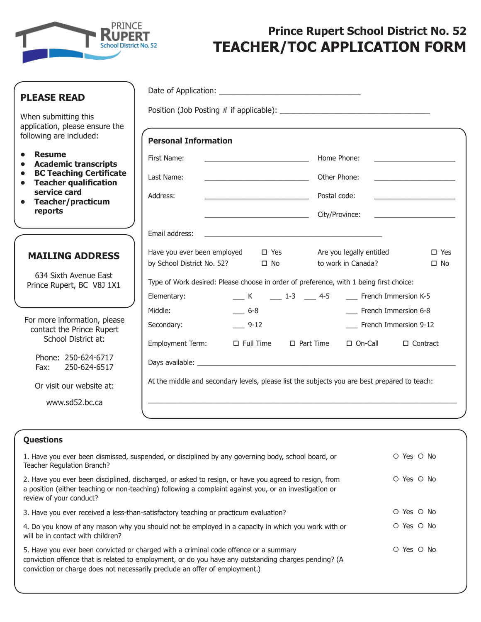

# **Prince Rupert School District No. 52 TEACHER/TOC APPLICATION FORM**

| <b>PLEASE READ</b>                                                                       |                                                                                              |                                                                                 |  |  |
|------------------------------------------------------------------------------------------|----------------------------------------------------------------------------------------------|---------------------------------------------------------------------------------|--|--|
| When submitting this                                                                     |                                                                                              |                                                                                 |  |  |
| application, please ensure the<br>following are included:                                | <b>Personal Information</b>                                                                  |                                                                                 |  |  |
| <b>Resume</b><br>$\bullet$<br><b>Academic transcripts</b>                                | First Name:<br><u> 1989 - Johann Barn, fransk politik formuler (d. 1989)</u>                 | Home Phone:                                                                     |  |  |
| <b>BC Teaching Certificate</b><br>$\bullet$<br><b>Teacher qualification</b><br>$\bullet$ | Last Name:<br>Other Phone:                                                                   | the control of the control of the control of the                                |  |  |
| service card<br><b>Teacher/practicum</b>                                                 | Address:                                                                                     | Postal code:<br><u> 1990 - Johann Barbara, martin a</u>                         |  |  |
| reports                                                                                  | City/Province:                                                                               | the control of the control of the control of the                                |  |  |
|                                                                                          | Email address:                                                                               |                                                                                 |  |  |
| <b>MAILING ADDRESS</b><br>634 Sixth Avenue East                                          | Have you ever been employed<br>$\Box$ Yes<br>by School District No. 52? □ No                 | Are you legally entitled<br>$\square$ Yes<br>to work in Canada?<br>$\square$ No |  |  |
| Prince Rupert, BC V8J 1X1                                                                | Type of Work desired: Please choose in order of preference, with 1 being first choice:       |                                                                                 |  |  |
|                                                                                          | Elementary:<br>Middle:<br>$-6-8$                                                             | K 1-3 4-5 French Immersion K-5<br>___ French Immersion 6-8                      |  |  |
| For more information, please<br>contact the Prince Rupert<br>School District at:         | Secondary:<br>$-9-12$                                                                        | __ French Immersion 9-12                                                        |  |  |
|                                                                                          | <b>Employment Term:</b><br>$\Box$ Full Time                                                  | $\Box$ Part Time<br>□ On-Call<br>$\Box$ Contract                                |  |  |
| Phone: 250-624-6717<br>250-624-6517<br>Fax:                                              |                                                                                              |                                                                                 |  |  |
| Or visit our website at:                                                                 | At the middle and secondary levels, please list the subjects you are best prepared to teach: |                                                                                 |  |  |
| www.sd52.bc.ca                                                                           |                                                                                              |                                                                                 |  |  |
|                                                                                          |                                                                                              |                                                                                 |  |  |
| <b>Ouestions</b>                                                                         |                                                                                              |                                                                                 |  |  |

| 1. Have you ever been dismissed, suspended, or disciplined by any governing body, school board, or<br>Teacher Regulation Branch?                                                                                                                                            | O Yes O No             |
|-----------------------------------------------------------------------------------------------------------------------------------------------------------------------------------------------------------------------------------------------------------------------------|------------------------|
| 2. Have you ever been disciplined, discharged, or asked to resign, or have you agreed to resign, from<br>a position (either teaching or non-teaching) following a complaint against you, or an investigation or<br>review of your conduct?                                  | ○ Yes ○ No             |
| 3. Have you ever received a less-than-satisfactory teaching or practicum evaluation?                                                                                                                                                                                        | O Yes O No             |
| 4. Do you know of any reason why you should not be employed in a capacity in which you work with or<br>will be in contact with children?                                                                                                                                    | O Yes O No             |
| 5. Have you ever been convicted or charged with a criminal code offence or a summary<br>conviction offence that is related to employment, or do you have any outstanding charges pending? (A<br>conviction or charge does not necessarily preclude an offer of employment.) | $\circ$ Yes $\circ$ No |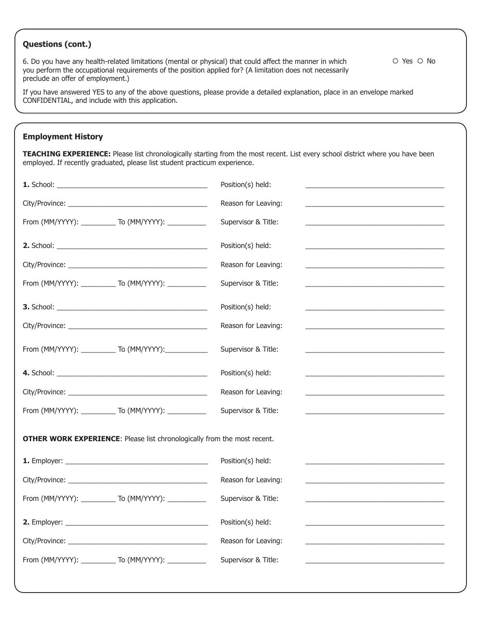## **Questions (cont.)**

6. Do you have any health-related limitations (mental or physical) that could affect the manner in which you perform the occupational requirements of the position applied for? (A limitation does not necessarily preclude an offer of employment.)

If you have answered YES to any of the above questions, please provide a detailed explanation, place in an envelope marked CONFIDENTIAL, and include with this application.

## **Employment History**

**TEACHING EXPERIENCE:** Please list chronologically starting from the most recent. List every school district where you have been employed. If recently graduated, please list student practicum experience.

|                                                                                 | Position(s) held:                                                         |  |  |  |
|---------------------------------------------------------------------------------|---------------------------------------------------------------------------|--|--|--|
|                                                                                 | Reason for Leaving:                                                       |  |  |  |
| From (MM/YYYY): ____________ To (MM/YYYY): ___________                          | Supervisor & Title:                                                       |  |  |  |
|                                                                                 | Position(s) held:                                                         |  |  |  |
|                                                                                 | Reason for Leaving:                                                       |  |  |  |
| From (MM/YYYY): ____________ To (MM/YYYY): ___________                          | Supervisor & Title:                                                       |  |  |  |
|                                                                                 | Position(s) held:                                                         |  |  |  |
|                                                                                 | Reason for Leaving:                                                       |  |  |  |
| From (MM/YYYY): ____________ To (MM/YYYY): _____________                        | Supervisor & Title:<br><u> 1989 - John Stein, Amerikaansk politiker (</u> |  |  |  |
|                                                                                 | Position(s) held:                                                         |  |  |  |
|                                                                                 | Reason for Leaving:                                                       |  |  |  |
| From (MM/YYYY): ____________ To (MM/YYYY): __________                           | Supervisor & Title:                                                       |  |  |  |
| <b>OTHER WORK EXPERIENCE:</b> Please list chronologically from the most recent. |                                                                           |  |  |  |
|                                                                                 | Position(s) held:                                                         |  |  |  |
|                                                                                 | Reason for Leaving:                                                       |  |  |  |
| From (MM/YYYY): ____________ To (MM/YYYY): ___________                          | Supervisor & Title:                                                       |  |  |  |
|                                                                                 | Position(s) held:                                                         |  |  |  |
|                                                                                 | Reason for Leaving:                                                       |  |  |  |
| From (MM/YYYY): ____________ To (MM/YYYY): ___________                          | Supervisor & Title:                                                       |  |  |  |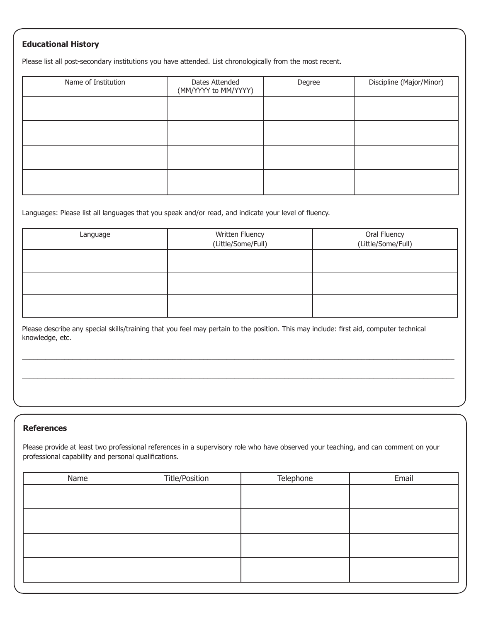## **Educational History**

Please list all post-secondary institutions you have attended. List chronologically from the most recent.

| Name of Institution | Dates Attended<br>(MM/YYYY to MM/YYYY) | Degree | Discipline (Major/Minor) |
|---------------------|----------------------------------------|--------|--------------------------|
|                     |                                        |        |                          |
|                     |                                        |        |                          |
|                     |                                        |        |                          |
|                     |                                        |        |                          |

Languages: Please list all languages that you speak and/or read, and indicate your level of fluency.

| Language | Written Fluency<br>(Little/Some/Full) | Oral Fluency<br>(Little/Some/Full) |
|----------|---------------------------------------|------------------------------------|
|          |                                       |                                    |
|          |                                       |                                    |
|          |                                       |                                    |

Please describe any special skills/training that you feel may pertain to the position. This may include: first aid, computer technical knowledge, etc.

 $\_$  ,  $\_$  ,  $\_$  ,  $\_$  ,  $\_$  ,  $\_$  ,  $\_$  ,  $\_$  ,  $\_$  ,  $\_$  ,  $\_$  ,  $\_$  ,  $\_$  ,  $\_$  ,  $\_$  ,  $\_$  ,  $\_$  ,  $\_$  ,  $\_$  ,  $\_$  ,  $\_$  ,  $\_$  ,  $\_$  ,  $\_$  ,  $\_$  ,  $\_$  ,  $\_$  ,  $\_$  ,  $\_$  ,  $\_$  ,  $\_$  ,  $\_$  ,  $\_$  ,  $\_$  ,  $\_$  ,  $\_$  ,  $\_$  ,

 $\_$  ,  $\_$  ,  $\_$  ,  $\_$  ,  $\_$  ,  $\_$  ,  $\_$  ,  $\_$  ,  $\_$  ,  $\_$  ,  $\_$  ,  $\_$  ,  $\_$  ,  $\_$  ,  $\_$  ,  $\_$  ,  $\_$  ,  $\_$  ,  $\_$  ,  $\_$  ,  $\_$  ,  $\_$  ,  $\_$  ,  $\_$  ,  $\_$  ,  $\_$  ,  $\_$  ,  $\_$  ,  $\_$  ,  $\_$  ,  $\_$  ,  $\_$  ,  $\_$  ,  $\_$  ,  $\_$  ,  $\_$  ,  $\_$  ,

#### **References**

Please provide at least two professional references in a supervisory role who have observed your teaching, and can comment on your professional capability and personal qualifications.

| Name | <b>Title/Position</b> | Telephone | Email |  |
|------|-----------------------|-----------|-------|--|
|      |                       |           |       |  |
|      |                       |           |       |  |
|      |                       |           |       |  |
|      |                       |           |       |  |
|      |                       |           |       |  |
|      |                       |           |       |  |
|      |                       |           |       |  |
|      |                       |           |       |  |
|      |                       |           |       |  |